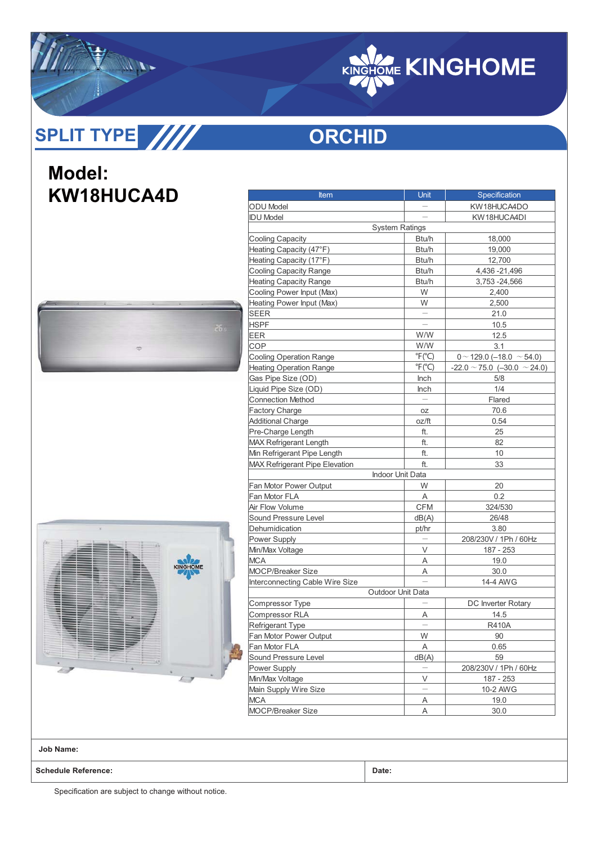

## **ORCHID**

## **Model: KW18HUCA4D**





| Item                                  | Unit                      | Specification                         |  |  |  |  |
|---------------------------------------|---------------------------|---------------------------------------|--|--|--|--|
| <b>ODU</b> Model                      |                           | KW18HUCA4DO                           |  |  |  |  |
| <b>IDU Model</b>                      |                           | KW18HUCA4DI                           |  |  |  |  |
|                                       | <b>System Ratings</b>     |                                       |  |  |  |  |
| <b>Cooling Capacity</b>               | Btu/h                     | 18,000                                |  |  |  |  |
| Heating Capacity (47°F)               | Btu/h                     | 19,000                                |  |  |  |  |
| Heating Capacity (17°F)               | Btu/h                     | 12,700                                |  |  |  |  |
| <b>Cooling Capacity Range</b>         | Btu/h                     | 4,436 - 21,496                        |  |  |  |  |
| <b>Heating Capacity Range</b>         | Btu/h                     | 3,753 - 24,566                        |  |  |  |  |
| Cooling Power Input (Max)             | W                         | 2,400                                 |  |  |  |  |
| Heating Power Input (Max)             | W                         | 2,500                                 |  |  |  |  |
| SEER                                  |                           | 21.0                                  |  |  |  |  |
| HSPF                                  |                           | 10.5                                  |  |  |  |  |
| EER                                   | W/W                       | 12.5                                  |  |  |  |  |
| COP                                   | W/W                       | 3.1                                   |  |  |  |  |
| <b>Cooling Operation Range</b>        | $\degree$ F( $\degree$ C) | $0 \sim 129.0$ (-18.0 $\sim$ 54.0)    |  |  |  |  |
| <b>Heating Operation Range</b>        | $\degree$ F( $\degree$ C) | $-22.0 \sim 75.0$ (-30.0 $\sim$ 24.0) |  |  |  |  |
| Gas Pipe Size (OD)                    | Inch                      | 5/8                                   |  |  |  |  |
| Liquid Pipe Size (OD)                 | <b>Inch</b>               | 1/4                                   |  |  |  |  |
| <b>Connection Method</b>              |                           | Flared                                |  |  |  |  |
| <b>Factory Charge</b>                 | OZ                        | 70.6                                  |  |  |  |  |
| <b>Additional Charge</b>              | oz/ft                     | 0.54                                  |  |  |  |  |
| Pre-Charge Length                     | ft.                       | 25                                    |  |  |  |  |
| <b>MAX Refrigerant Length</b>         | ft.                       | 82                                    |  |  |  |  |
| Min Refrigerant Pipe Length           | ft.                       | 10                                    |  |  |  |  |
| <b>MAX Refrigerant Pipe Elevation</b> | ft.                       | 33                                    |  |  |  |  |
|                                       | Indoor Unit Data          |                                       |  |  |  |  |
| Fan Motor Power Output                | W                         | 20                                    |  |  |  |  |
| Fan Motor FLA                         | Α                         | 0.2                                   |  |  |  |  |
| Air Flow Volume                       | <b>CFM</b>                | 324/530                               |  |  |  |  |
| Sound Pressure Level                  | dB(A)                     | 26/48                                 |  |  |  |  |
| Dehumidication                        | pt/hr                     | 3.80                                  |  |  |  |  |
| Power Supply                          |                           | 208/230V / 1Ph / 60Hz                 |  |  |  |  |
| Min/Max Voltage                       | V                         | 187 - 253                             |  |  |  |  |
| <b>MCA</b>                            | Α                         | 19.0                                  |  |  |  |  |
| <b>MOCP/Breaker Size</b>              | Α                         | 30.0                                  |  |  |  |  |
| Interconnecting Cable Wire Size       |                           | 14-4 AWG                              |  |  |  |  |
|                                       | Outdoor Unit Data         |                                       |  |  |  |  |
| Compressor Type                       |                           | DC Inverter Rotary                    |  |  |  |  |
| Compressor RLA                        | Α                         | 14.5                                  |  |  |  |  |
| <b>Refrigerant Type</b>               |                           | <b>R410A</b>                          |  |  |  |  |
| Fan Motor Power Output                | W                         | 90                                    |  |  |  |  |
| Fan Motor FLA                         | Α                         | 0.65                                  |  |  |  |  |
| Sound Pressure Level                  | dB(A)                     | 59                                    |  |  |  |  |
| Power Supply                          |                           | 208/230V / 1Ph / 60Hz                 |  |  |  |  |
| Min/Max Voltage                       | V                         | 187 - 253                             |  |  |  |  |
| Main Supply Wire Size                 |                           | 10-2 AWG                              |  |  |  |  |
| MCA                                   | Α                         | 19.0                                  |  |  |  |  |
| <b>MOCP/Breaker Size</b>              | A                         | 30.0                                  |  |  |  |  |

**Job Name:**

**Schedule Reference: Date:**

Specification are subject to change without notice.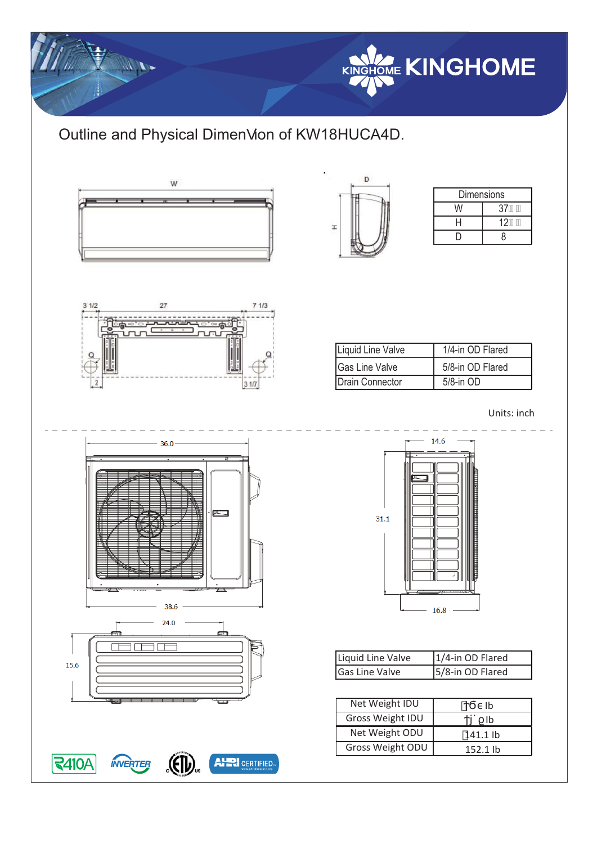

## Outline and Physical Dimen• ion of KW18HUCA4D.

 $71/3$ 

 $31/7$ 



 $\overline{27}$ 

. . . . . . .<br>السابقة

 $31/2$ 



| <b>Dimensions</b> |         |  |  |  |
|-------------------|---------|--|--|--|
| W                 | 37      |  |  |  |
| Н                 | $12)$ # |  |  |  |
|                   | ጸ       |  |  |  |

| Liquid Line Valve      | 1/4-in OD Flared |
|------------------------|------------------|
| <b>Gas Line Valve</b>  | 5/8-in OD Flared |
| <b>Drain Connector</b> | $5/8$ -in $OD$   |

Units: inch





| Liquid Line Valve | 1/4-in OD Flared |
|-------------------|------------------|
| Gas Line Valve    | 5/8-in OD Flared |

| Net Weight IDU   | Ib         |
|------------------|------------|
| Gross Weight IDU | Ib         |
| Net Weight ODU   | 141.1 lb   |
| Gross Weight ODU | $152.1$ lb |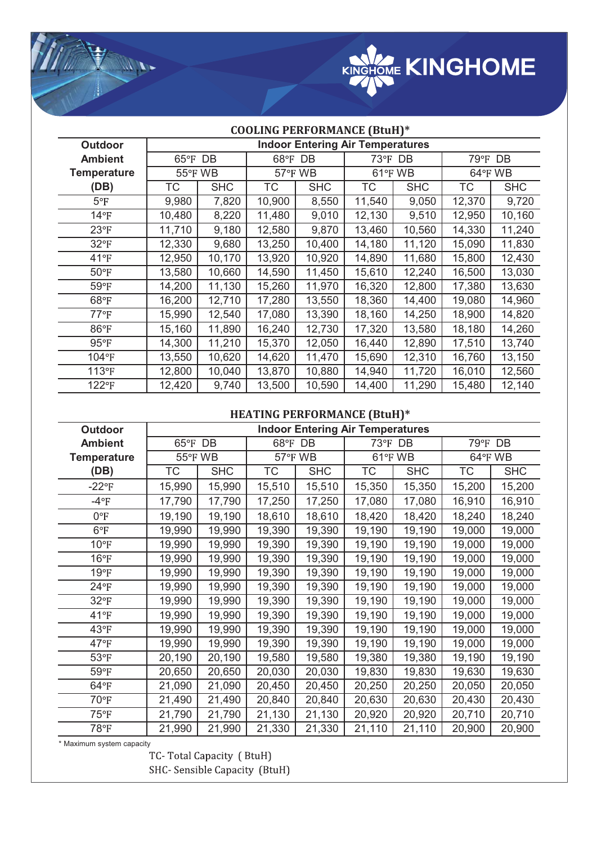

| <b>COOLING PERFORMANCE (BtuH)*</b> |                                         |            |                |            |           |            |           |            |
|------------------------------------|-----------------------------------------|------------|----------------|------------|-----------|------------|-----------|------------|
| <b>Outdoor</b>                     | <b>Indoor Entering Air Temperatures</b> |            |                |            |           |            |           |            |
| <b>Ambient</b>                     | 65°F DB                                 |            | 68°F DB        |            | 73°F DB   |            | 79°F DB   |            |
| <b>Temperature</b>                 | 55°F WB                                 |            | <b>57°F WB</b> |            | 61°F WB   |            | 64°F WB   |            |
| (DB)                               | ТC                                      | <b>SHC</b> | <b>TC</b>      | <b>SHC</b> | <b>TC</b> | <b>SHC</b> | <b>TC</b> | <b>SHC</b> |
| $5^{\circ}F$                       | 9,980                                   | 7,820      | 10,900         | 8,550      | 11,540    | 9,050      | 12,370    | 9,720      |
| $14^{\circ}F$                      | 10,480                                  | 8,220      | 11,480         | 9,010      | 12,130    | 9,510      | 12,950    | 10,160     |
| $23^{\circ}F$                      | 11,710                                  | 9,180      | 12,580         | 9,870      | 13,460    | 10,560     | 14,330    | 11,240     |
| $32^{\circ}F$                      | 12,330                                  | 9,680      | 13,250         | 10,400     | 14,180    | 11,120     | 15,090    | 11,830     |
| $41^{\circ}F$                      | 12,950                                  | 10,170     | 13,920         | 10,920     | 14,890    | 11,680     | 15,800    | 12,430     |
| $50^{\circ}$ F                     | 13,580                                  | 10,660     | 14,590         | 11,450     | 15,610    | 12,240     | 16,500    | 13,030     |
| 59°F                               | 14,200                                  | 11,130     | 15,260         | 11,970     | 16,320    | 12,800     | 17,380    | 13,630     |
| 68°F                               | 16,200                                  | 12,710     | 17,280         | 13,550     | 18,360    | 14,400     | 19,080    | 14,960     |
| $77^{\circ}$ F                     | 15,990                                  | 12,540     | 17,080         | 13,390     | 18,160    | 14,250     | 18,900    | 14,820     |
| 86°F                               | 15,160                                  | 11,890     | 16,240         | 12,730     | 17,320    | 13,580     | 18,180    | 14,260     |
| $95^{\circ}$ F                     | 14,300                                  | 11,210     | 15,370         | 12,050     | 16,440    | 12,890     | 17,510    | 13,740     |
| 104°F                              | 13,550                                  | 10,620     | 14,620         | 11,470     | 15,690    | 12,310     | 16,760    | 13,150     |
| 113°F                              | 12,800                                  | 10,040     | 13,870         | 10,880     | 14,940    | 11,720     | 16,010    | 12,560     |
| 122°F                              | 12,420                                  | 9,740      | 13,500         | 10,590     | 14,400    | 11,290     | 15,480    | 12,140     |

## **HEATING PERFORMANCE (BtuH)\***

| <b>Outdoor</b>     | <b>Indoor Entering Air Temperatures</b> |            |         |            |            |            |         |            |
|--------------------|-----------------------------------------|------------|---------|------------|------------|------------|---------|------------|
| <b>Ambient</b>     | 65°F DB                                 |            | 68°F DB |            | 73°F<br>DB |            | 79°F DB |            |
| <b>Temperature</b> | 55°F WB                                 |            | 57°F WB |            | 61°FWB     |            | 64°F WB |            |
| (DB)               | ТC                                      | <b>SHC</b> | TC      | <b>SHC</b> | <b>TC</b>  | <b>SHC</b> | TC      | <b>SHC</b> |
| $-22^{\circ}F$     | 15,990                                  | 15,990     | 15,510  | 15,510     | 15,350     | 15,350     | 15,200  | 15,200     |
| $-4$ °F            | 17,790                                  | 17,790     | 17,250  | 17,250     | 17,080     | 17,080     | 16,910  | 16,910     |
| $0^{\circ}F$       | 19,190                                  | 19,190     | 18,610  | 18,610     | 18,420     | 18,420     | 18,240  | 18,240     |
| $6^{\circ}$ F      | 19,990                                  | 19,990     | 19,390  | 19,390     | 19,190     | 19,190     | 19,000  | 19,000     |
| $10^{\circ}F$      | 19,990                                  | 19,990     | 19,390  | 19,390     | 19,190     | 19,190     | 19,000  | 19,000     |
| $16^{\circ}F$      | 19,990                                  | 19,990     | 19,390  | 19,390     | 19,190     | 19,190     | 19,000  | 19,000     |
| 19°F               | 19,990                                  | 19,990     | 19,390  | 19,390     | 19,190     | 19,190     | 19,000  | 19,000     |
| $24^{\circ}F$      | 19,990                                  | 19,990     | 19,390  | 19,390     | 19,190     | 19,190     | 19,000  | 19,000     |
| $32^{\circ}F$      | 19,990                                  | 19,990     | 19,390  | 19,390     | 19,190     | 19,190     | 19,000  | 19,000     |
| 41°F               | 19,990                                  | 19,990     | 19,390  | 19,390     | 19,190     | 19,190     | 19,000  | 19,000     |
| $43^{\circ}F$      | 19,990                                  | 19,990     | 19,390  | 19,390     | 19,190     | 19,190     | 19,000  | 19,000     |
| 47°F               | 19,990                                  | 19,990     | 19,390  | 19,390     | 19,190     | 19,190     | 19,000  | 19,000     |
| $53^{\circ}F$      | 20,190                                  | 20,190     | 19,580  | 19,580     | 19,380     | 19,380     | 19,190  | 19,190     |
| $59°$ F            | 20,650                                  | 20,650     | 20,030  | 20,030     | 19,830     | 19,830     | 19,630  | 19,630     |
| $64^{\circ}F$      | 21,090                                  | 21,090     | 20,450  | 20,450     | 20,250     | 20,250     | 20,050  | 20,050     |
| 70°F               | 21,490                                  | 21,490     | 20,840  | 20,840     | 20,630     | 20,630     | 20,430  | 20,430     |
| 75°F               | 21,790                                  | 21,790     | 21,130  | 21,130     | 20,920     | 20,920     | 20,710  | 20,710     |
| 78°F               | 21,990                                  | 21,990     | 21,330  | 21,330     | 21,110     | 21,110     | 20,900  | 20,900     |

VIII.

\* Maximum system capacity SHC- Sensible Capacity (BtuH)